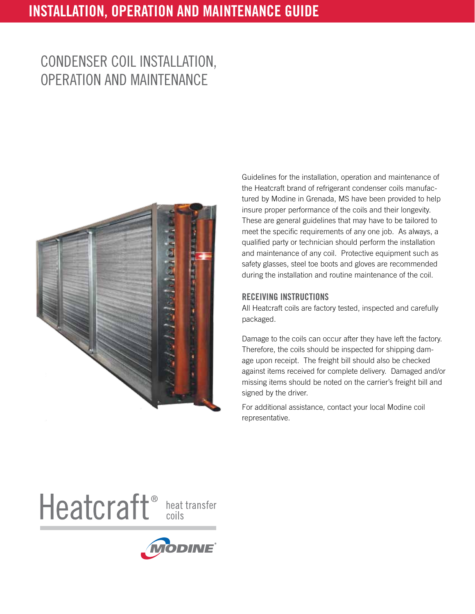# Installation, Operation and Maintenance Guide

# Condenser coil installation, operation and Maintenance



Guidelines for the installation, operation and maintenance of the Heatcraft brand of refrigerant condenser coils manufactured by Modine in Grenada, MS have been provided to help insure proper performance of the coils and their longevity. These are general guidelines that may have to be tailored to meet the specific requirements of any one job. As always, a qualified party or technician should perform the installation and maintenance of any coil. Protective equipment such as safety glasses, steel toe boots and gloves are recommended during the installation and routine maintenance of the coil.

### RECEIVING INSTRUCTIONS

All Heatcraft coils are factory tested, inspected and carefully packaged.

Damage to the coils can occur after they have left the factory. Therefore, the coils should be inspected for shipping damage upon receipt. The freight bill should also be checked against items received for complete delivery. Damaged and/or missing items should be noted on the carrier's freight bill and signed by the driver.

For additional assistance, contact your local Modine coil representative.

Heatcraft<sup>®</sup> heat transfer

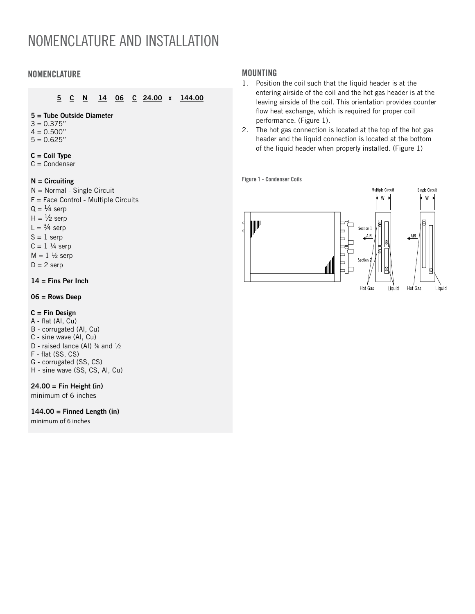# Nomenclature and Installation

# NOMENCLATURE MOUNTING

### 5 C N 14 06 C 24.00 x 144.00

#### 5 = Tube Outside Diameter

- $3 = 0.375"$
- $4 = 0.500"$
- $5 = 0.625"$

#### $C = Coil$  Type

 $C =$  Condenser

#### $N =$  Circuiting

- N = Normal Single Circuit
- F = Face Control Multiple Circuits
- $Q = \frac{1}{4}$  serp
- $H = \frac{1}{2}$  serp
- $L = \frac{3}{4}$  serp
- $S = 1$  serp
- $C = 1$  ¼ serp
- $M = 1 \frac{1}{2}$  serp
- $D = 2$  serp

#### $14 =$  Fins Per Inch

#### 06 = Rows Deep

#### $C = Fin$  Design

- A flat (Al, Cu)
- B corrugated (Al, Cu)
- C sine wave (Al, Cu)
- D raised lance (Al)  $\frac{3}{8}$  and  $\frac{1}{2}$
- F flat (SS, CS)
- G corrugated (SS, CS)
- H sine wave (SS, CS, Al, Cu)

#### $24.00 = Fin Height (in)$

minimum of 6 inches

#### $144.00 =$  Finned Length (in)

minimum of 6 inches

- 1. Position the coil such that the liquid header is at the entering airside of the coil and the hot gas header is at the leaving airside of the coil. This orientation provides counter flow heat exchange, which is required for proper coil performance. (Figure 1).
- 2. The hot gas connection is located at the top of the hot gas header and the liquid connection is located at the bottom of the liquid header when properly installed. (Figure 1)

Figure 1 - Condenser Coils

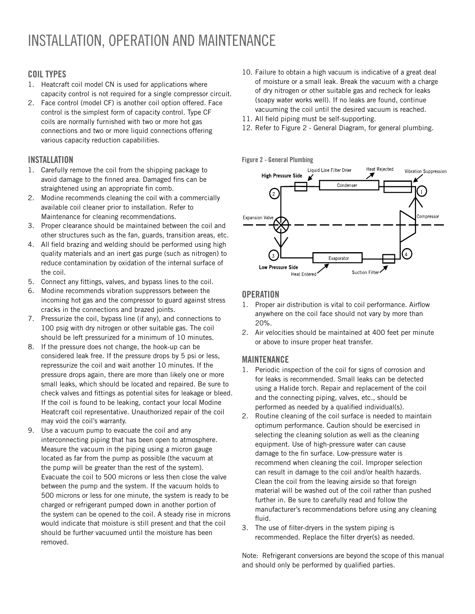# Installation, Operation and Maintenance

# Coil Types

- 1. Heatcraft coil model CN is used for applications where capacity control is not required for a single compressor circuit.
- 2. Face control (model CF) is another coil option offered. Face control is the simplest form of capacity control. Type CF coils are normally furnished with two or more hot gas connections and two or more liquid connections offering various capacity reduction capabilities.

# **INSTALLATION**

- 1. Carefully remove the coil from the shipping package to avoid damage to the finned area. Damaged fins can be straightened using an appropriate fin comb.
- 2. Modine recommends cleaning the coil with a commercially available coil cleaner prior to installation. Refer to Maintenance for cleaning recommendations.
- 3. Proper clearance should be maintained between the coil and other structures such as the fan, guards, transition areas, etc.
- 4. All field brazing and welding should be performed using high quality materials and an inert gas purge (such as nitrogen) to reduce contamination by oxidation of the internal surface of the coil.
- 5. Connect any fittings, valves, and bypass lines to the coil.
- 6. Modine recommends vibration suppressors between the incoming hot gas and the compressor to guard against stress cracks in the connections and brazed joints.
- 7. Pressurize the coil, bypass line (if any), and connections to 100 psig with dry nitrogen or other suitable gas. The coil should be left pressurized for a minimum of 10 minutes.
- 8. If the pressure does not change, the hook-up can be considered leak free. If the pressure drops by 5 psi or less, repressurize the coil and wait another 10 minutes. If the pressure drops again, there are more than likely one or more small leaks, which should be located and repaired. Be sure to check valves and fittings as potential sites for leakage or bleed. If the coil is found to be leaking, contact your local Modine Heatcraft coil representative. Unauthorized repair of the coil may void the coil's warranty.
- 9. Use a vacuum pump to evacuate the coil and any interconnecting piping that has been open to atmosphere. Measure the vacuum in the piping using a micron gauge located as far from the pump as possible (the vacuum at the pump will be greater than the rest of the system). Evacuate the coil to 500 microns or less then close the valve between the pump and the system. If the vacuum holds to 500 microns or less for one minute, the system is ready to be charged or refrigerant pumped down in another portion of the system can be opened to the coil. A steady rise in microns would indicate that moisture is still present and that the coil should be further vacuumed until the moisture has been removed.
- 10. Failure to obtain a high vacuum is indicative of a great deal of moisture or a small leak. Break the vacuum with a charge of dry nitrogen or other suitable gas and recheck for leaks (soapy water works well). If no leaks are found, continue vacuuming the coil until the desired vacuum is reached.
- 11. All field piping must be self-supporting.
- 12. Refer to Figure 2 General Diagram, for general plumbing.

#### Figure 2 - General Plumbing



### **OPERATION**

- 1. Proper air distribution is vital to coil performance. Airflow anywhere on the coil face should not vary by more than 20%.
- 2. Air velocities should be maintained at 400 feet per minute or above to insure proper heat transfer.

### Maintenance

- 1. Periodic inspection of the coil for signs of corrosion and for leaks is recommended. Small leaks can be detected using a Halide torch. Repair and replacement of the coil and the connecting piping, valves, etc., should be performed as needed by a qualified individual(s).
- 2. Routine cleaning of the coil surface is needed to maintain optimum performance. Caution should be exercised in selecting the cleaning solution as well as the cleaning equipment. Use of high-pressure water can cause damage to the fin surface. Low-pressure water is recommend when cleaning the coil. Improper selection can result in damage to the coil and/or health hazards. Clean the coil from the leaving airside so that foreign material will be washed out of the coil rather than pushed further in. Be sure to carefully read and follow the manufacturer's recommendations before using any cleaning fluid.
- 3. The use of filter-dryers in the system piping is recommended. Replace the filter dryer(s) as needed.

Note: Refrigerant conversions are beyond the scope of this manual and should only be performed by qualified parties.